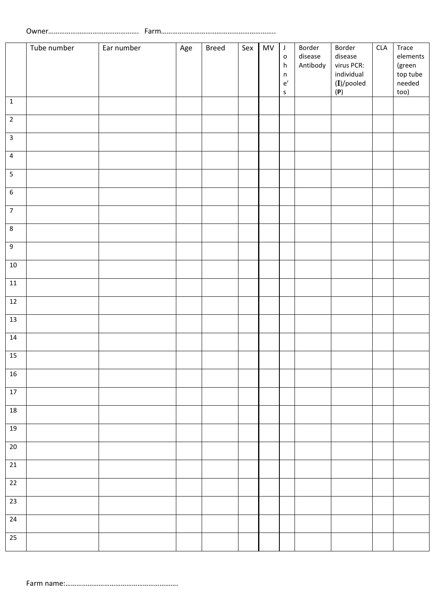|                  | Tube number | Ear number | Age | <b>Breed</b> | Sex | MV | $\mathsf J$<br>$\mathsf{o}$<br>$\boldsymbol{\mathsf{h}}$<br>$\sf n$<br>$\mathsf{e}'$<br>$\sf S$ | Border<br>disease<br>Antibody | Border<br>disease<br>virus PCR:<br>individual<br>$(I)/$ pooled<br>(P) | $\ensuremath{\mathsf{CLA}}$ | Trace<br>elements<br>(green<br>top tube<br>needed<br>too) |
|------------------|-------------|------------|-----|--------------|-----|----|-------------------------------------------------------------------------------------------------|-------------------------------|-----------------------------------------------------------------------|-----------------------------|-----------------------------------------------------------|
| $\mathbf 1$      |             |            |     |              |     |    |                                                                                                 |                               |                                                                       |                             |                                                           |
| $\overline{2}$   |             |            |     |              |     |    |                                                                                                 |                               |                                                                       |                             |                                                           |
| $\mathbf{3}$     |             |            |     |              |     |    |                                                                                                 |                               |                                                                       |                             |                                                           |
| $\overline{4}$   |             |            |     |              |     |    |                                                                                                 |                               |                                                                       |                             |                                                           |
| $\overline{5}$   |             |            |     |              |     |    |                                                                                                 |                               |                                                                       |                             |                                                           |
| $\boldsymbol{6}$ |             |            |     |              |     |    |                                                                                                 |                               |                                                                       |                             |                                                           |
| $\overline{7}$   |             |            |     |              |     |    |                                                                                                 |                               |                                                                       |                             |                                                           |
| $\bf 8$          |             |            |     |              |     |    |                                                                                                 |                               |                                                                       |                             |                                                           |
| $\boldsymbol{9}$ |             |            |     |              |     |    |                                                                                                 |                               |                                                                       |                             |                                                           |
| $10\,$           |             |            |     |              |     |    |                                                                                                 |                               |                                                                       |                             |                                                           |
| $11\,$           |             |            |     |              |     |    |                                                                                                 |                               |                                                                       |                             |                                                           |
| $12\,$           |             |            |     |              |     |    |                                                                                                 |                               |                                                                       |                             |                                                           |
| $13\,$           |             |            |     |              |     |    |                                                                                                 |                               |                                                                       |                             |                                                           |
| $14\,$           |             |            |     |              |     |    |                                                                                                 |                               |                                                                       |                             |                                                           |
| 15               |             |            |     |              |     |    |                                                                                                 |                               |                                                                       |                             |                                                           |
| $16\,$           |             |            |     |              |     |    |                                                                                                 |                               |                                                                       |                             |                                                           |
| 17               |             |            |     |              |     |    |                                                                                                 |                               |                                                                       |                             |                                                           |
| $18\,$           |             |            |     |              |     |    |                                                                                                 |                               |                                                                       |                             |                                                           |
| $19\,$           |             |            |     |              |     |    |                                                                                                 |                               |                                                                       |                             |                                                           |
| $20\,$           |             |            |     |              |     |    |                                                                                                 |                               |                                                                       |                             |                                                           |
| $21\,$           |             |            |     |              |     |    |                                                                                                 |                               |                                                                       |                             |                                                           |
| $22\,$           |             |            |     |              |     |    |                                                                                                 |                               |                                                                       |                             |                                                           |
| $\overline{23}$  |             |            |     |              |     |    |                                                                                                 |                               |                                                                       |                             |                                                           |
| $24\,$           |             |            |     |              |     |    |                                                                                                 |                               |                                                                       |                             |                                                           |
| $\overline{25}$  |             |            |     |              |     |    |                                                                                                 |                               |                                                                       |                             |                                                           |
|                  |             |            |     |              |     |    |                                                                                                 |                               |                                                                       |                             |                                                           |

Farm name:…………………………………………………….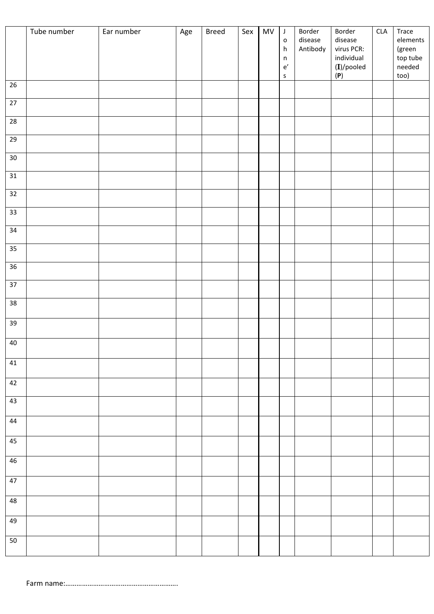|                 | Tube number | Ear number | Age | <b>Breed</b> | Sex | MV | $\mathsf J$<br>$\mathsf{o}$<br>$\boldsymbol{\mathsf{h}}$<br>$\sf n$<br>$\mathsf{e}'$<br>$\sf S$ | Border<br>disease<br>Antibody | Border<br>disease<br>virus PCR:<br>individual<br>$(I)/$ pooled<br>(P) | CLA | Trace<br>elements<br>(green<br>top tube<br>needed<br>too) |
|-----------------|-------------|------------|-----|--------------|-----|----|-------------------------------------------------------------------------------------------------|-------------------------------|-----------------------------------------------------------------------|-----|-----------------------------------------------------------|
| $26\,$          |             |            |     |              |     |    |                                                                                                 |                               |                                                                       |     |                                                           |
| $\overline{27}$ |             |            |     |              |     |    |                                                                                                 |                               |                                                                       |     |                                                           |
| 28              |             |            |     |              |     |    |                                                                                                 |                               |                                                                       |     |                                                           |
| $\overline{29}$ |             |            |     |              |     |    |                                                                                                 |                               |                                                                       |     |                                                           |
| $30\,$          |             |            |     |              |     |    |                                                                                                 |                               |                                                                       |     |                                                           |
| 31              |             |            |     |              |     |    |                                                                                                 |                               |                                                                       |     |                                                           |
| 32              |             |            |     |              |     |    |                                                                                                 |                               |                                                                       |     |                                                           |
| 33              |             |            |     |              |     |    |                                                                                                 |                               |                                                                       |     |                                                           |
| 34              |             |            |     |              |     |    |                                                                                                 |                               |                                                                       |     |                                                           |
| 35<br>$36\,$    |             |            |     |              |     |    |                                                                                                 |                               |                                                                       |     |                                                           |
| 37              |             |            |     |              |     |    |                                                                                                 |                               |                                                                       |     |                                                           |
| 38              |             |            |     |              |     |    |                                                                                                 |                               |                                                                       |     |                                                           |
| 39              |             |            |     |              |     |    |                                                                                                 |                               |                                                                       |     |                                                           |
|                 |             |            |     |              |     |    |                                                                                                 |                               |                                                                       |     |                                                           |
| 40              |             |            |     |              |     |    |                                                                                                 |                               |                                                                       |     |                                                           |
| 41              |             |            |     |              |     |    |                                                                                                 |                               |                                                                       |     |                                                           |
| 42              |             |            |     |              |     |    |                                                                                                 |                               |                                                                       |     |                                                           |
| 43              |             |            |     |              |     |    |                                                                                                 |                               |                                                                       |     |                                                           |
| 44              |             |            |     |              |     |    |                                                                                                 |                               |                                                                       |     |                                                           |
| 45              |             |            |     |              |     |    |                                                                                                 |                               |                                                                       |     |                                                           |
| 46              |             |            |     |              |     |    |                                                                                                 |                               |                                                                       |     |                                                           |
| 47              |             |            |     |              |     |    |                                                                                                 |                               |                                                                       |     |                                                           |
| 48              |             |            |     |              |     |    |                                                                                                 |                               |                                                                       |     |                                                           |
| 49              |             |            |     |              |     |    |                                                                                                 |                               |                                                                       |     |                                                           |
| 50              |             |            |     |              |     |    |                                                                                                 |                               |                                                                       |     |                                                           |
|                 |             |            |     |              |     |    |                                                                                                 |                               |                                                                       |     |                                                           |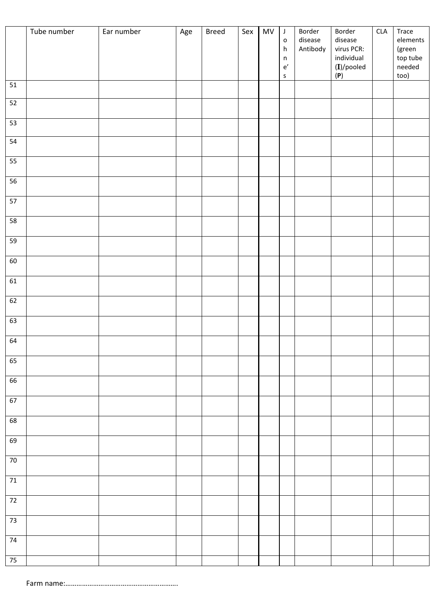|        | Tube number | Ear number | Age | <b>Breed</b> | Sex | ${\sf MV}$ | $\mathsf J$<br>$\mathsf{o}$ | Border<br>disease | Border<br>disease        | $\ensuremath{\mathsf{CLA}}$ | Trace<br>elements            |
|--------|-------------|------------|-----|--------------|-----|------------|-----------------------------|-------------------|--------------------------|-----------------------------|------------------------------|
|        |             |            |     |              |     |            | h<br>$\sf n$                | Antibody          | virus PCR:<br>individual |                             | (green<br>top tube<br>needed |
|        |             |            |     |              |     |            | $\mathsf{e}'$<br>$\sf S$    |                   | $(I)/$ pooled<br>(P)     |                             | too)                         |
| 51     |             |            |     |              |     |            |                             |                   |                          |                             |                              |
| 52     |             |            |     |              |     |            |                             |                   |                          |                             |                              |
| 53     |             |            |     |              |     |            |                             |                   |                          |                             |                              |
| 54     |             |            |     |              |     |            |                             |                   |                          |                             |                              |
| 55     |             |            |     |              |     |            |                             |                   |                          |                             |                              |
| 56     |             |            |     |              |     |            |                             |                   |                          |                             |                              |
| 57     |             |            |     |              |     |            |                             |                   |                          |                             |                              |
| $58$   |             |            |     |              |     |            |                             |                   |                          |                             |                              |
| 59     |             |            |     |              |     |            |                             |                   |                          |                             |                              |
| 60     |             |            |     |              |     |            |                             |                   |                          |                             |                              |
| 61     |             |            |     |              |     |            |                             |                   |                          |                             |                              |
| 62     |             |            |     |              |     |            |                             |                   |                          |                             |                              |
| 63     |             |            |     |              |     |            |                             |                   |                          |                             |                              |
| 64     |             |            |     |              |     |            |                             |                   |                          |                             |                              |
| 65     |             |            |     |              |     |            |                             |                   |                          |                             |                              |
| 66     |             |            |     |              |     |            |                             |                   |                          |                             |                              |
| 67     |             |            |     |              |     |            |                             |                   |                          |                             |                              |
| 68     |             |            |     |              |     |            |                             |                   |                          |                             |                              |
| 69     |             |            |     |              |     |            |                             |                   |                          |                             |                              |
| $70\,$ |             |            |     |              |     |            |                             |                   |                          |                             |                              |
| $71\,$ |             |            |     |              |     |            |                             |                   |                          |                             |                              |
| 72     |             |            |     |              |     |            |                             |                   |                          |                             |                              |
| 73     |             |            |     |              |     |            |                             |                   |                          |                             |                              |
| $74$   |             |            |     |              |     |            |                             |                   |                          |                             |                              |
| $75\,$ |             |            |     |              |     |            |                             |                   |                          |                             |                              |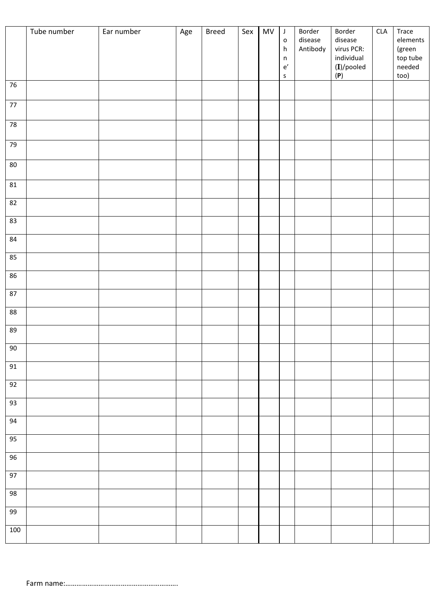|            | Tube number | Ear number | Age | <b>Breed</b> | Sex | <b>MV</b> | $\mathsf J$<br>$\mathsf{o}$<br>h<br>$\sf n$<br>$\mathsf{e}'$<br>$\sf S$ | Border<br>disease<br>Antibody | Border<br>disease<br>virus PCR:<br>individual<br>$(I)/$ pooled<br>(P) | $\ensuremath{\mathsf{CLA}}$ | Trace<br>elements<br>(green<br>top tube<br>needed<br>too) |
|------------|-------------|------------|-----|--------------|-----|-----------|-------------------------------------------------------------------------|-------------------------------|-----------------------------------------------------------------------|-----------------------------|-----------------------------------------------------------|
| 76         |             |            |     |              |     |           |                                                                         |                               |                                                                       |                             |                                                           |
| $77\,$     |             |            |     |              |     |           |                                                                         |                               |                                                                       |                             |                                                           |
| ${\bf 78}$ |             |            |     |              |     |           |                                                                         |                               |                                                                       |                             |                                                           |
| 79         |             |            |     |              |     |           |                                                                         |                               |                                                                       |                             |                                                           |
| $80\,$     |             |            |     |              |     |           |                                                                         |                               |                                                                       |                             |                                                           |
| 81         |             |            |     |              |     |           |                                                                         |                               |                                                                       |                             |                                                           |
| 82         |             |            |     |              |     |           |                                                                         |                               |                                                                       |                             |                                                           |
| 83         |             |            |     |              |     |           |                                                                         |                               |                                                                       |                             |                                                           |
| 84         |             |            |     |              |     |           |                                                                         |                               |                                                                       |                             |                                                           |
| 85         |             |            |     |              |     |           |                                                                         |                               |                                                                       |                             |                                                           |
| 86         |             |            |     |              |     |           |                                                                         |                               |                                                                       |                             |                                                           |
| $87\,$     |             |            |     |              |     |           |                                                                         |                               |                                                                       |                             |                                                           |
| $88\,$     |             |            |     |              |     |           |                                                                         |                               |                                                                       |                             |                                                           |
| 89         |             |            |     |              |     |           |                                                                         |                               |                                                                       |                             |                                                           |
| $90\,$     |             |            |     |              |     |           |                                                                         |                               |                                                                       |                             |                                                           |
| 91         |             |            |     |              |     |           |                                                                         |                               |                                                                       |                             |                                                           |
| 92         |             |            |     |              |     |           |                                                                         |                               |                                                                       |                             |                                                           |
| 93         |             |            |     |              |     |           |                                                                         |                               |                                                                       |                             |                                                           |
| 94         |             |            |     |              |     |           |                                                                         |                               |                                                                       |                             |                                                           |
| 95         |             |            |     |              |     |           |                                                                         |                               |                                                                       |                             |                                                           |
| 96         |             |            |     |              |     |           |                                                                         |                               |                                                                       |                             |                                                           |
| 97         |             |            |     |              |     |           |                                                                         |                               |                                                                       |                             |                                                           |
| 98         |             |            |     |              |     |           |                                                                         |                               |                                                                       |                             |                                                           |
| 99         |             |            |     |              |     |           |                                                                         |                               |                                                                       |                             |                                                           |
| 100        |             |            |     |              |     |           |                                                                         |                               |                                                                       |                             |                                                           |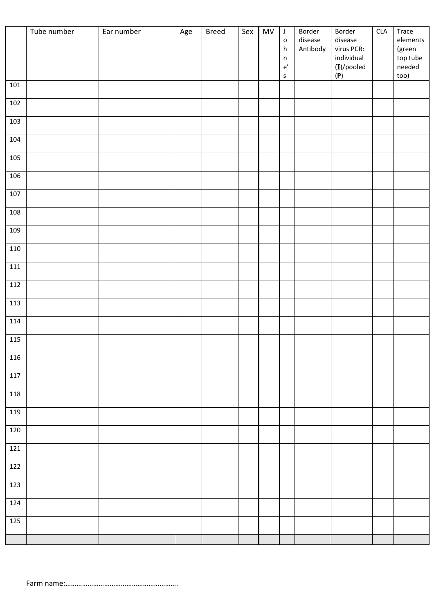|         | Tube number | Ear number | Age | <b>Breed</b> | Sex | <b>MV</b> | $\mathsf J$<br>$\mathsf{o}$<br>$\boldsymbol{\mathsf{h}}$<br>$\mathsf n$<br>$\mathsf{e}'$<br>$\sf S$ | Border<br>disease<br>Antibody | Border<br>disease<br>virus PCR:<br>individual<br>$(I)/$ pooled<br>(P) | CLA | Trace<br>elements<br>(green<br>top tube<br>needed<br>too) |
|---------|-------------|------------|-----|--------------|-----|-----------|-----------------------------------------------------------------------------------------------------|-------------------------------|-----------------------------------------------------------------------|-----|-----------------------------------------------------------|
| 101     |             |            |     |              |     |           |                                                                                                     |                               |                                                                       |     |                                                           |
| 102     |             |            |     |              |     |           |                                                                                                     |                               |                                                                       |     |                                                           |
| 103     |             |            |     |              |     |           |                                                                                                     |                               |                                                                       |     |                                                           |
| 104     |             |            |     |              |     |           |                                                                                                     |                               |                                                                       |     |                                                           |
| 105     |             |            |     |              |     |           |                                                                                                     |                               |                                                                       |     |                                                           |
| 106     |             |            |     |              |     |           |                                                                                                     |                               |                                                                       |     |                                                           |
| 107     |             |            |     |              |     |           |                                                                                                     |                               |                                                                       |     |                                                           |
| 108     |             |            |     |              |     |           |                                                                                                     |                               |                                                                       |     |                                                           |
| 109     |             |            |     |              |     |           |                                                                                                     |                               |                                                                       |     |                                                           |
| 110     |             |            |     |              |     |           |                                                                                                     |                               |                                                                       |     |                                                           |
| $111\,$ |             |            |     |              |     |           |                                                                                                     |                               |                                                                       |     |                                                           |
| 112     |             |            |     |              |     |           |                                                                                                     |                               |                                                                       |     |                                                           |
| 113     |             |            |     |              |     |           |                                                                                                     |                               |                                                                       |     |                                                           |
| 114     |             |            |     |              |     |           |                                                                                                     |                               |                                                                       |     |                                                           |
| 115     |             |            |     |              |     |           |                                                                                                     |                               |                                                                       |     |                                                           |
| 116     |             |            |     |              |     |           |                                                                                                     |                               |                                                                       |     |                                                           |
| 117     |             |            |     |              |     |           |                                                                                                     |                               |                                                                       |     |                                                           |
| 118     |             |            |     |              |     |           |                                                                                                     |                               |                                                                       |     |                                                           |
| 119     |             |            |     |              |     |           |                                                                                                     |                               |                                                                       |     |                                                           |
| 120     |             |            |     |              |     |           |                                                                                                     |                               |                                                                       |     |                                                           |
| 121     |             |            |     |              |     |           |                                                                                                     |                               |                                                                       |     |                                                           |
| 122     |             |            |     |              |     |           |                                                                                                     |                               |                                                                       |     |                                                           |
| 123     |             |            |     |              |     |           |                                                                                                     |                               |                                                                       |     |                                                           |
| 124     |             |            |     |              |     |           |                                                                                                     |                               |                                                                       |     |                                                           |
| 125     |             |            |     |              |     |           |                                                                                                     |                               |                                                                       |     |                                                           |
|         |             |            |     |              |     |           |                                                                                                     |                               |                                                                       |     |                                                           |

Farm name:…………………………………………………….